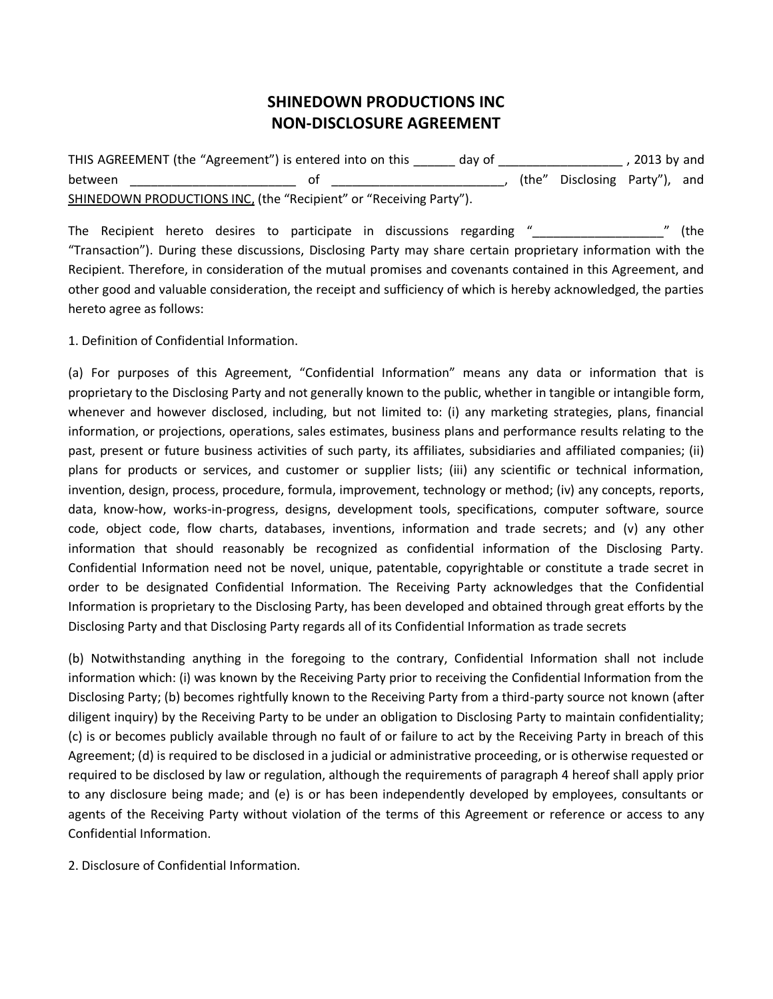# **SHINEDOWN PRODUCTIONS INC NON-DISCLOSURE AGREEMENT**

THIS AGREEMENT (the "Agreement") is entered into on this \_\_\_\_\_\_ day of \_\_\_\_\_\_\_\_\_\_\_\_\_\_\_\_\_\_\_\_\_\_, 2013 by and between \_\_\_\_\_\_\_\_\_\_\_\_\_\_\_\_\_\_\_\_\_\_\_\_ of \_\_\_\_\_\_\_\_\_\_\_\_\_\_\_\_\_\_\_\_\_\_\_\_\_, (the" Disclosing Party"), and SHINEDOWN PRODUCTIONS INC, (the "Recipient" or "Receiving Party").

The Recipient hereto desires to participate in discussions regarding "\_\_\_\_\_\_\_\_\_\_\_\_\_\_\_\_\_\_\_\_\_" (the "Transaction"). During these discussions, Disclosing Party may share certain proprietary information with the Recipient. Therefore, in consideration of the mutual promises and covenants contained in this Agreement, and other good and valuable consideration, the receipt and sufficiency of which is hereby acknowledged, the parties hereto agree as follows:

1. Definition of Confidential Information.

(a) For purposes of this Agreement, "Confidential Information" means any data or information that is proprietary to the Disclosing Party and not generally known to the public, whether in tangible or intangible form, whenever and however disclosed, including, but not limited to: (i) any marketing strategies, plans, financial information, or projections, operations, sales estimates, business plans and performance results relating to the past, present or future business activities of such party, its affiliates, subsidiaries and affiliated companies; (ii) plans for products or services, and customer or supplier lists; (iii) any scientific or technical information, invention, design, process, procedure, formula, improvement, technology or method; (iv) any concepts, reports, data, know-how, works-in-progress, designs, development tools, specifications, computer software, source code, object code, flow charts, databases, inventions, information and trade secrets; and (v) any other information that should reasonably be recognized as confidential information of the Disclosing Party. Confidential Information need not be novel, unique, patentable, copyrightable or constitute a trade secret in order to be designated Confidential Information. The Receiving Party acknowledges that the Confidential Information is proprietary to the Disclosing Party, has been developed and obtained through great efforts by the Disclosing Party and that Disclosing Party regards all of its Confidential Information as trade secrets

(b) Notwithstanding anything in the foregoing to the contrary, Confidential Information shall not include information which: (i) was known by the Receiving Party prior to receiving the Confidential Information from the Disclosing Party; (b) becomes rightfully known to the Receiving Party from a third-party source not known (after diligent inquiry) by the Receiving Party to be under an obligation to Disclosing Party to maintain confidentiality; (c) is or becomes publicly available through no fault of or failure to act by the Receiving Party in breach of this Agreement; (d) is required to be disclosed in a judicial or administrative proceeding, or is otherwise requested or required to be disclosed by law or regulation, although the requirements of paragraph 4 hereof shall apply prior to any disclosure being made; and (e) is or has been independently developed by employees, consultants or agents of the Receiving Party without violation of the terms of this Agreement or reference or access to any Confidential Information.

2. Disclosure of Confidential Information.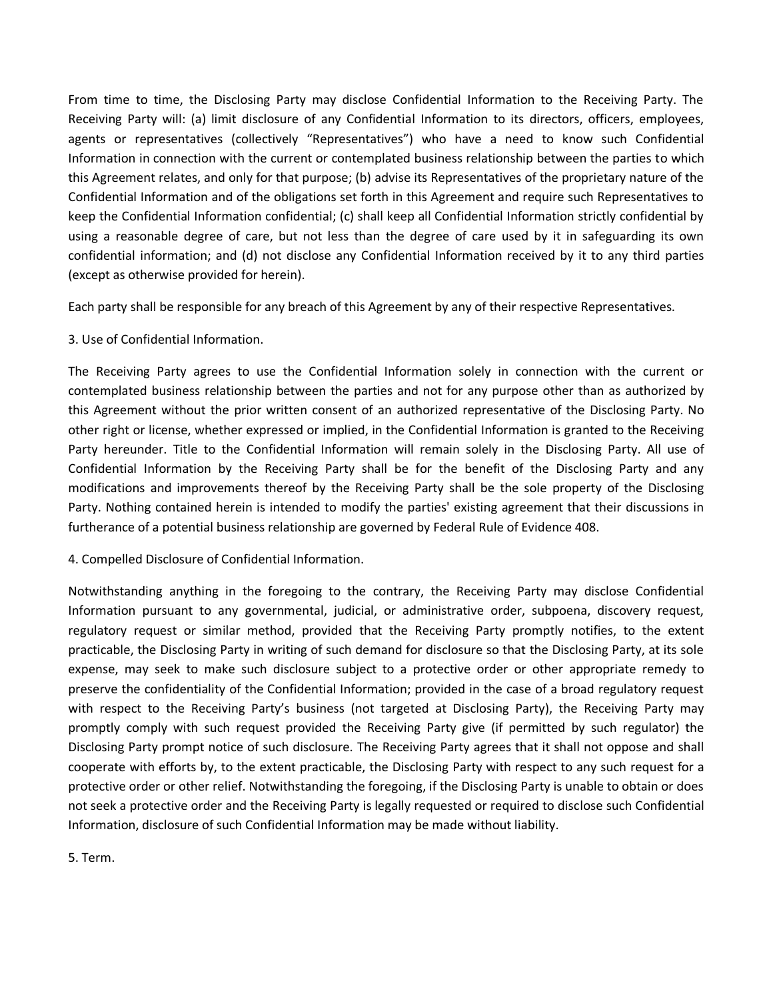From time to time, the Disclosing Party may disclose Confidential Information to the Receiving Party. The Receiving Party will: (a) limit disclosure of any Confidential Information to its directors, officers, employees, agents or representatives (collectively "Representatives") who have a need to know such Confidential Information in connection with the current or contemplated business relationship between the parties to which this Agreement relates, and only for that purpose; (b) advise its Representatives of the proprietary nature of the Confidential Information and of the obligations set forth in this Agreement and require such Representatives to keep the Confidential Information confidential; (c) shall keep all Confidential Information strictly confidential by using a reasonable degree of care, but not less than the degree of care used by it in safeguarding its own confidential information; and (d) not disclose any Confidential Information received by it to any third parties (except as otherwise provided for herein).

Each party shall be responsible for any breach of this Agreement by any of their respective Representatives.

## 3. Use of Confidential Information.

The Receiving Party agrees to use the Confidential Information solely in connection with the current or contemplated business relationship between the parties and not for any purpose other than as authorized by this Agreement without the prior written consent of an authorized representative of the Disclosing Party. No other right or license, whether expressed or implied, in the Confidential Information is granted to the Receiving Party hereunder. Title to the Confidential Information will remain solely in the Disclosing Party. All use of Confidential Information by the Receiving Party shall be for the benefit of the Disclosing Party and any modifications and improvements thereof by the Receiving Party shall be the sole property of the Disclosing Party. Nothing contained herein is intended to modify the parties' existing agreement that their discussions in furtherance of a potential business relationship are governed by Federal Rule of Evidence 408.

4. Compelled Disclosure of Confidential Information.

Notwithstanding anything in the foregoing to the contrary, the Receiving Party may disclose Confidential Information pursuant to any governmental, judicial, or administrative order, subpoena, discovery request, regulatory request or similar method, provided that the Receiving Party promptly notifies, to the extent practicable, the Disclosing Party in writing of such demand for disclosure so that the Disclosing Party, at its sole expense, may seek to make such disclosure subject to a protective order or other appropriate remedy to preserve the confidentiality of the Confidential Information; provided in the case of a broad regulatory request with respect to the Receiving Party's business (not targeted at Disclosing Party), the Receiving Party may promptly comply with such request provided the Receiving Party give (if permitted by such regulator) the Disclosing Party prompt notice of such disclosure. The Receiving Party agrees that it shall not oppose and shall cooperate with efforts by, to the extent practicable, the Disclosing Party with respect to any such request for a protective order or other relief. Notwithstanding the foregoing, if the Disclosing Party is unable to obtain or does not seek a protective order and the Receiving Party is legally requested or required to disclose such Confidential Information, disclosure of such Confidential Information may be made without liability.

5. Term.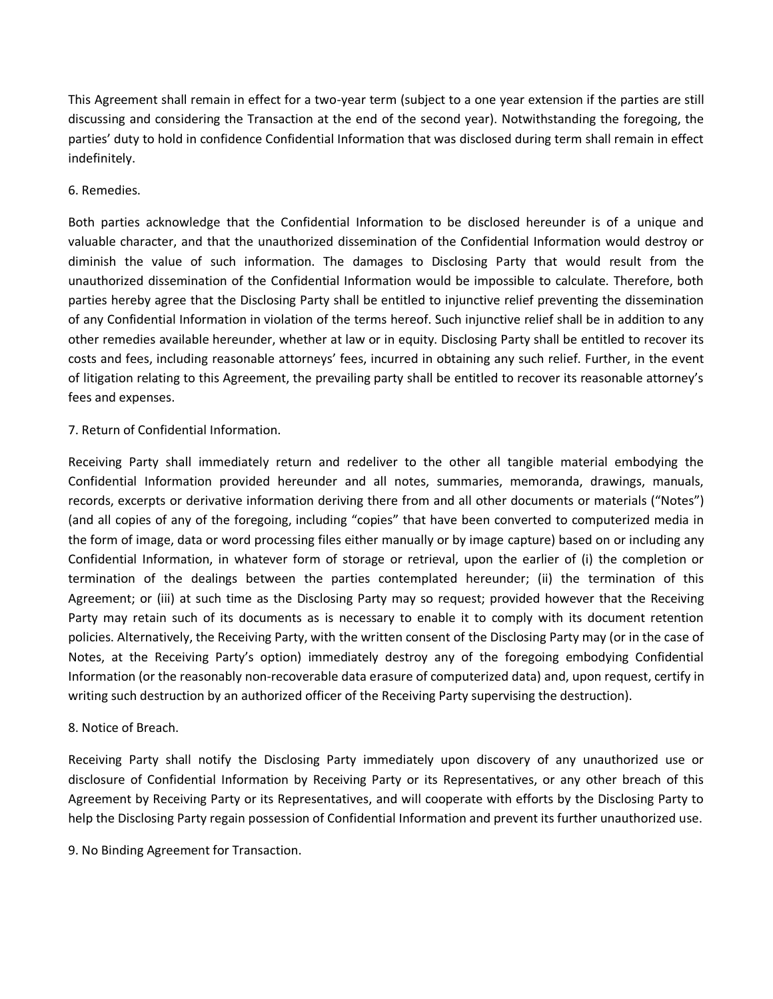This Agreement shall remain in effect for a two-year term (subject to a one year extension if the parties are still discussing and considering the Transaction at the end of the second year). Notwithstanding the foregoing, the parties' duty to hold in confidence Confidential Information that was disclosed during term shall remain in effect indefinitely.

## 6. Remedies.

Both parties acknowledge that the Confidential Information to be disclosed hereunder is of a unique and valuable character, and that the unauthorized dissemination of the Confidential Information would destroy or diminish the value of such information. The damages to Disclosing Party that would result from the unauthorized dissemination of the Confidential Information would be impossible to calculate. Therefore, both parties hereby agree that the Disclosing Party shall be entitled to injunctive relief preventing the dissemination of any Confidential Information in violation of the terms hereof. Such injunctive relief shall be in addition to any other remedies available hereunder, whether at law or in equity. Disclosing Party shall be entitled to recover its costs and fees, including reasonable attorneys' fees, incurred in obtaining any such relief. Further, in the event of litigation relating to this Agreement, the prevailing party shall be entitled to recover its reasonable attorney's fees and expenses.

## 7. Return of Confidential Information.

Receiving Party shall immediately return and redeliver to the other all tangible material embodying the Confidential Information provided hereunder and all notes, summaries, memoranda, drawings, manuals, records, excerpts or derivative information deriving there from and all other documents or materials ("Notes") (and all copies of any of the foregoing, including "copies" that have been converted to computerized media in the form of image, data or word processing files either manually or by image capture) based on or including any Confidential Information, in whatever form of storage or retrieval, upon the earlier of (i) the completion or termination of the dealings between the parties contemplated hereunder; (ii) the termination of this Agreement; or (iii) at such time as the Disclosing Party may so request; provided however that the Receiving Party may retain such of its documents as is necessary to enable it to comply with its document retention policies. Alternatively, the Receiving Party, with the written consent of the Disclosing Party may (or in the case of Notes, at the Receiving Party's option) immediately destroy any of the foregoing embodying Confidential Information (or the reasonably non-recoverable data erasure of computerized data) and, upon request, certify in writing such destruction by an authorized officer of the Receiving Party supervising the destruction).

## 8. Notice of Breach.

Receiving Party shall notify the Disclosing Party immediately upon discovery of any unauthorized use or disclosure of Confidential Information by Receiving Party or its Representatives, or any other breach of this Agreement by Receiving Party or its Representatives, and will cooperate with efforts by the Disclosing Party to help the Disclosing Party regain possession of Confidential Information and prevent its further unauthorized use.

9. No Binding Agreement for Transaction.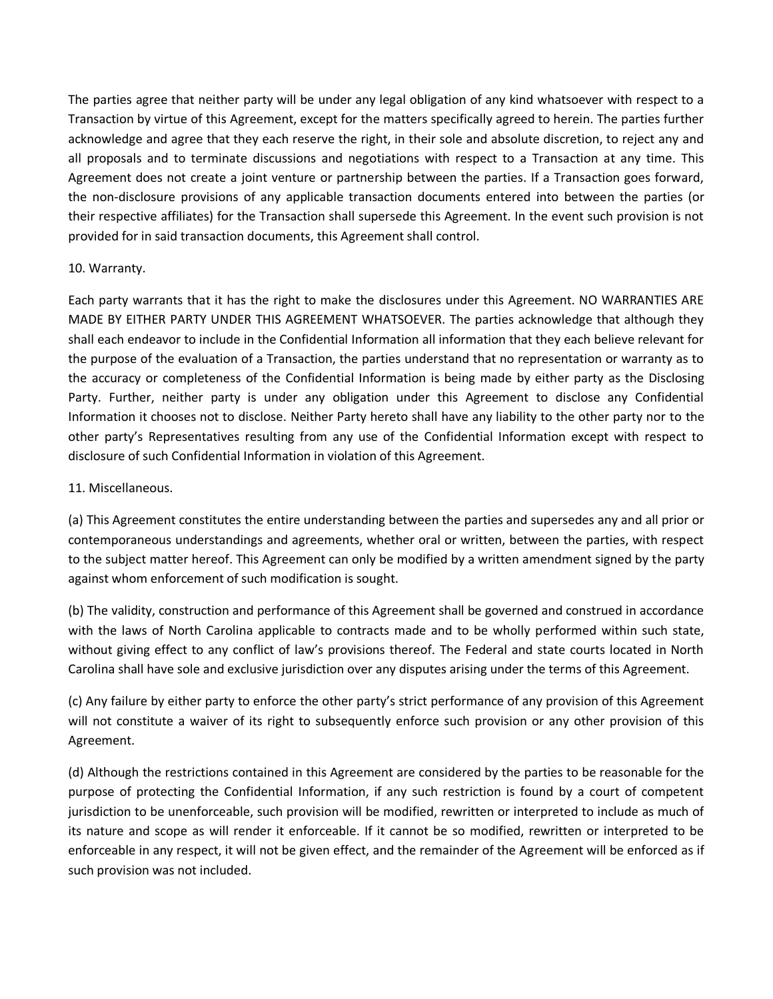The parties agree that neither party will be under any legal obligation of any kind whatsoever with respect to a Transaction by virtue of this Agreement, except for the matters specifically agreed to herein. The parties further acknowledge and agree that they each reserve the right, in their sole and absolute discretion, to reject any and all proposals and to terminate discussions and negotiations with respect to a Transaction at any time. This Agreement does not create a joint venture or partnership between the parties. If a Transaction goes forward, the non-disclosure provisions of any applicable transaction documents entered into between the parties (or their respective affiliates) for the Transaction shall supersede this Agreement. In the event such provision is not provided for in said transaction documents, this Agreement shall control.

#### 10. Warranty.

Each party warrants that it has the right to make the disclosures under this Agreement. NO WARRANTIES ARE MADE BY EITHER PARTY UNDER THIS AGREEMENT WHATSOEVER. The parties acknowledge that although they shall each endeavor to include in the Confidential Information all information that they each believe relevant for the purpose of the evaluation of a Transaction, the parties understand that no representation or warranty as to the accuracy or completeness of the Confidential Information is being made by either party as the Disclosing Party. Further, neither party is under any obligation under this Agreement to disclose any Confidential Information it chooses not to disclose. Neither Party hereto shall have any liability to the other party nor to the other party's Representatives resulting from any use of the Confidential Information except with respect to disclosure of such Confidential Information in violation of this Agreement.

#### 11. Miscellaneous.

(a) This Agreement constitutes the entire understanding between the parties and supersedes any and all prior or contemporaneous understandings and agreements, whether oral or written, between the parties, with respect to the subject matter hereof. This Agreement can only be modified by a written amendment signed by the party against whom enforcement of such modification is sought.

(b) The validity, construction and performance of this Agreement shall be governed and construed in accordance with the laws of North Carolina applicable to contracts made and to be wholly performed within such state, without giving effect to any conflict of law's provisions thereof. The Federal and state courts located in North Carolina shall have sole and exclusive jurisdiction over any disputes arising under the terms of this Agreement.

(c) Any failure by either party to enforce the other party's strict performance of any provision of this Agreement will not constitute a waiver of its right to subsequently enforce such provision or any other provision of this Agreement.

(d) Although the restrictions contained in this Agreement are considered by the parties to be reasonable for the purpose of protecting the Confidential Information, if any such restriction is found by a court of competent jurisdiction to be unenforceable, such provision will be modified, rewritten or interpreted to include as much of its nature and scope as will render it enforceable. If it cannot be so modified, rewritten or interpreted to be enforceable in any respect, it will not be given effect, and the remainder of the Agreement will be enforced as if such provision was not included.